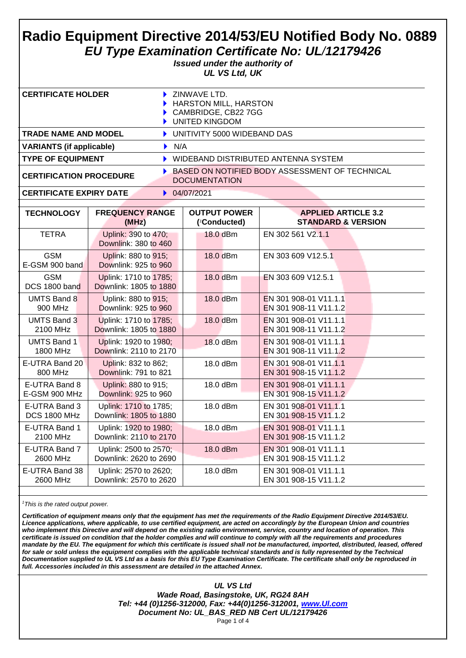# **Radio Equipment Directive 2014/53/EU Notified Body No. 0889** *EU Type Examination Certificate No: UL/12179426*

*Issued under the authority of UL VS Ltd, UK*

| CERTIFICATE HOLDER              | ZINWAVE LTD.<br>HARSTON MILL, HARSTON<br>CAMBRIDGE, CB22 7GG<br>UNITED KINGDOM |
|---------------------------------|--------------------------------------------------------------------------------|
| <b>TRADE NAME AND MODEL</b>     | UNITIVITY 5000 WIDEBAND DAS                                                    |
| <b>VARIANTS (if applicable)</b> | $\blacktriangleright$ N/A                                                      |
| <b>TYPE OF EQUIPMENT</b>        | WIDEBAND DISTRIBUTED ANTENNA SYSTEM                                            |
| <b>CERTIFICATION PROCEDURE</b>  | BASED ON NOTIFIED BODY ASSESSMENT OF TECHNICAL<br><b>DOCUMENTATION</b>         |

#### **CERTIFICATE EXPIRY DATE**  $\rightarrow$  04/07/2021

| <b>TECHNOLOGY</b>            | <b>FREQUENCY RANGE</b>                          | <b>OUTPUT POWER</b> | <b>APPLIED ARTICLE 3.2</b>    |  |
|------------------------------|-------------------------------------------------|---------------------|-------------------------------|--|
|                              | (MHz)                                           | ('Conducted)        | <b>STANDARD &amp; VERSION</b> |  |
| <b>TETRA</b>                 | Uplink: 390 to 470;<br>Downlink: 380 to 460     | 18.0 dBm            | EN 302 561 V2.1.1             |  |
| <b>GSM</b><br>E-GSM 900 band | Uplink: 880 to 915;<br>Downlink: 925 to 960     | 18.0 dBm            | EN 303 609 V12.5.1            |  |
| <b>GSM</b><br>DCS 1800 band  | Uplink: 1710 to 1785;<br>Downlink: 1805 to 1880 | 18.0 dBm            | EN 303 609 V12.5.1            |  |
| <b>UMTS Band 8</b>           | Uplink: 880 to 915;                             | 18.0 dBm            | EN 301 908-01 V11.1.1         |  |
| 900 MHz                      | Downlink: 925 to 960                            |                     | EN 301 908-11 V11.1.2         |  |
| UMTS Band 3                  | Uplink: 1710 to 1785;                           | 18.0 dBm            | EN 301 908-01 V11.1.1         |  |
| 2100 MHz                     | Downlink: 1805 to 1880                          |                     | EN 301 908-11 V11.1.2         |  |
| <b>UMTS Band 1</b>           | Uplink: 1920 to 1980;                           | 18.0 dBm            | EN 301 908-01 V11.1.1         |  |
| 1800 MHz                     | Downlink: 2110 to 2170                          |                     | EN 301 908-11 V11.1.2         |  |
| E-UTRA Band 20               | Uplink: 832 to 862;                             | 18.0 dBm            | EN 301 908-01 V11.1.1         |  |
| 800 MHz                      | Downlink: 791 to 821                            |                     | EN 301 908-15 V11.1.2         |  |
| E-UTRA Band 8                | Uplink: 880 to 915;                             | 18.0 dBm            | EN 301 908-01 V11.1.1         |  |
| E-GSM 900 MHz                | Downlink: 925 to 960                            |                     | EN 301 908-15 V11.1.2         |  |
| E-UTRA Band 3                | Uplink: 1710 to 1785;                           | 18.0 dBm            | EN 301 908-01 V11.1.1         |  |
| <b>DCS 1800 MHz</b>          | Downlink: 1805 to 1880                          |                     | EN 301 908-15 V11.1.2         |  |
| E-UTRA Band 1                | Uplink: 1920 to 1980;                           | 18.0 dBm            | EN 301 908-01 V11.1.1         |  |
| 2100 MHz                     | Downlink: 2110 to 2170                          |                     | EN 301 908-15 V11.1.2         |  |
| E-UTRA Band 7                | Uplink: 2500 to 2570;                           | 18.0 dBm            | EN 301 908-01 V11.1.1         |  |
| 2600 MHz                     | Downlink: 2620 to 2690                          |                     | EN 301 908-15 V11.1.2         |  |
| E-UTRA Band 38               | Uplink: 2570 to 2620;                           | 18.0 dBm            | EN 301 908-01 V11.1.1         |  |
| 2600 MHz                     | Downlink: 2570 to 2620                          |                     | EN 301 908-15 V11.1.2         |  |

*<sup>1</sup>This is the rated output power.*

*Certification of equipment means only that the equipment has met the requirements of the Radio Equipment Directive 2014/53/EU. Licence applications, where applicable, to use certified equipment, are acted on accordingly by the European Union and countries who implement this Directive and will depend on the existing radio environment, service, country and location of operation. This certificate is issued on condition that the holder complies and will continue to comply with all the requirements and procedures mandate by the EU. The equipment for which this certificate is issued shall not be manufactured, imported, distributed, leased, offered for sale or sold unless the equipment complies with the applicable technical standards and is fully represented by the Technical Documentation supplied to UL VS Ltd as a basis for this EU Type Examination Certificate. The certificate shall only be reproduced in full. Accessories included in this assessment are detailed in the attached Annex.*

*UL VS Ltd*

*Wade Road, Basingstoke, UK, RG24 8AH Tel: +44 (0)1256-312000, Fax: +44(0)1256-312001, [www.Ul.com](http://www.ul.com/) Document No: UL\_BAS\_RED NB Cert UL/12179426* Page 1 of 4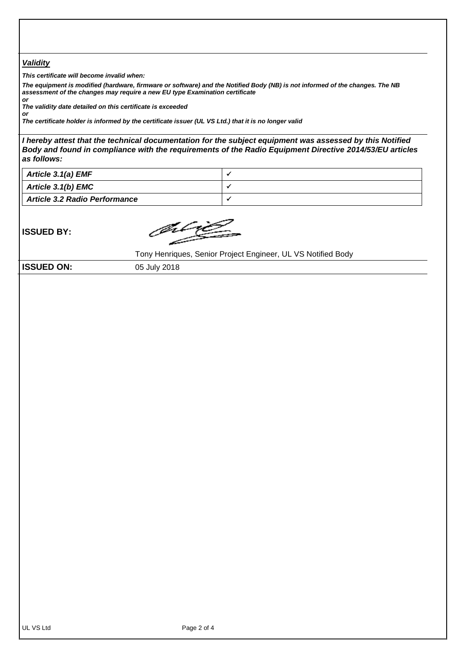#### *Validity*

*This certificate will become invalid when:*

*The equipment is modified (hardware, firmware or software) and the Notified Body (NB) is not informed of the changes. The NB assessment of the changes may require a new EU type Examination certificate*

*or The validity date detailed on this certificate is exceeded*

*or The certificate holder is informed by the certificate issuer (UL VS Ltd.) that it is no longer valid*

*I hereby attest that the technical documentation for the subject equipment was assessed by this Notified Body and found in compliance with the requirements of the Radio Equipment Directive 2014/53/EU articles as follows:*

| Article 3.1(a) EMF                   |  |
|--------------------------------------|--|
| <b>Article 3.1(b) EMC</b>            |  |
| <b>Article 3.2 Radio Performance</b> |  |

**ISSUED BY:**

Jilij

Tony Henriques, Senior Project Engineer, UL VS Notified Body

**ISSUED ON:** 05 July 2018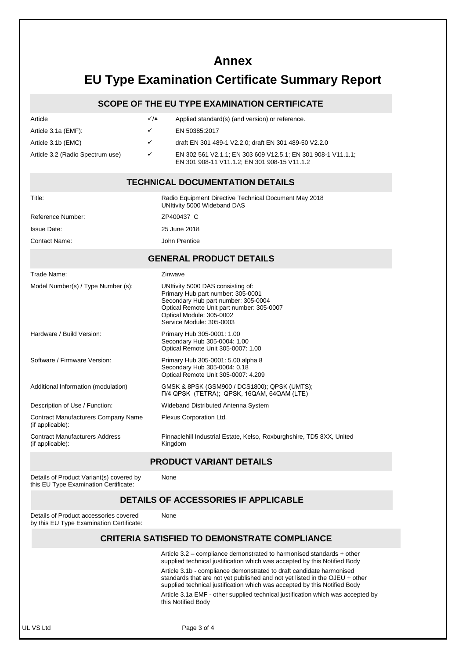## **Annex**

## **EU Type Examination Certificate Summary Report**

#### **SCOPE OF THE EU TYPE EXAMINATION CERTIFICATE**

| Article                          | $\sqrt{x}$   | Applied standard(s) (and version) or reference.                                                              |
|----------------------------------|--------------|--------------------------------------------------------------------------------------------------------------|
| Article 3.1a (EMF):              | $\checkmark$ | EN 50385:2017                                                                                                |
| Article 3.1b (EMC)               | $\checkmark$ | draft EN 301 489-1 V2.2.0; draft EN 301 489-50 V2.2.0                                                        |
| Article 3.2 (Radio Spectrum use) | $\checkmark$ | EN 302 561 V2.1.1; EN 303 609 V12.5.1; EN 301 908-1 V11.1.1;<br>EN 301 908-11 V11.1.2: EN 301 908-15 V11.1.2 |

#### **TECHNICAL DOCUMENTATION DETAILS**

| Title:                                                         | Radio Equipment Directive Technical Document May 2018<br>UNItivity 5000 Wideband DAS                                                                                                                               |  |  |  |
|----------------------------------------------------------------|--------------------------------------------------------------------------------------------------------------------------------------------------------------------------------------------------------------------|--|--|--|
| Reference Number:                                              | ZP400437 C                                                                                                                                                                                                         |  |  |  |
| Issue Date:                                                    | 25 June 2018                                                                                                                                                                                                       |  |  |  |
| <b>Contact Name:</b>                                           | John Prentice                                                                                                                                                                                                      |  |  |  |
| <b>GENERAL PRODUCT DETAILS</b>                                 |                                                                                                                                                                                                                    |  |  |  |
| Trade Name:                                                    | Zinwave                                                                                                                                                                                                            |  |  |  |
| Model Number(s) / Type Number (s):                             | UNItivity 5000 DAS consisting of:<br>Primary Hub part number: 305-0001<br>Secondary Hub part number: 305-0004<br>Optical Remote Unit part number: 305-0007<br>Optical Module: 305-0002<br>Service Module: 305-0003 |  |  |  |
| Hardware / Build Version:                                      | Primary Hub 305-0001: 1.00<br>Secondary Hub 305-0004: 1.00<br>Optical Remote Unit 305-0007: 1.00                                                                                                                   |  |  |  |
| Software / Firmware Version:                                   | Primary Hub 305-0001: 5.00 alpha 8<br>Secondary Hub 305-0004: 0.18<br>Optical Remote Unit 305-0007: 4.209                                                                                                          |  |  |  |
| Additional Information (modulation)                            | GMSK & 8PSK (GSM900 / DCS1800); QPSK (UMTS);<br>T/4 QPSK (TETRA); QPSK, 16QAM, 64QAM (LTE)                                                                                                                         |  |  |  |
| Description of Use / Function:                                 | Wideband Distributed Antenna System                                                                                                                                                                                |  |  |  |
| <b>Contract Manufacturers Company Name</b><br>(if applicable): | Plexus Corporation Ltd.                                                                                                                                                                                            |  |  |  |
| <b>Contract Manufacturers Address</b><br>(if applicable):      | Pinnaclehill Industrial Estate, Kelso, Roxburghshire, TD5 8XX, United<br>Kingdom                                                                                                                                   |  |  |  |

#### **PRODUCT VARIANT DETAILS**

None

None

Details of Product Variant(s) covered by this EU Type Examination Certificate:

#### **DETAILS OF ACCESSORIES IF APPLICABLE**

Details of Product accessories covered by this EU Type Examination Certificate:

### **CRITERIA SATISFIED TO DEMONSTRATE COMPLIANCE**

Article 3.2 – compliance demonstrated to harmonised standards + other supplied technical justification which was accepted by this Notified Body

Article 3.1b - compliance demonstrated to draft candidate harmonised standards that are not yet published and not yet listed in the OJEU + other supplied technical justification which was accepted by this Notified Body

Article 3.1a EMF - other supplied technical justification which was accepted by this Notified Body